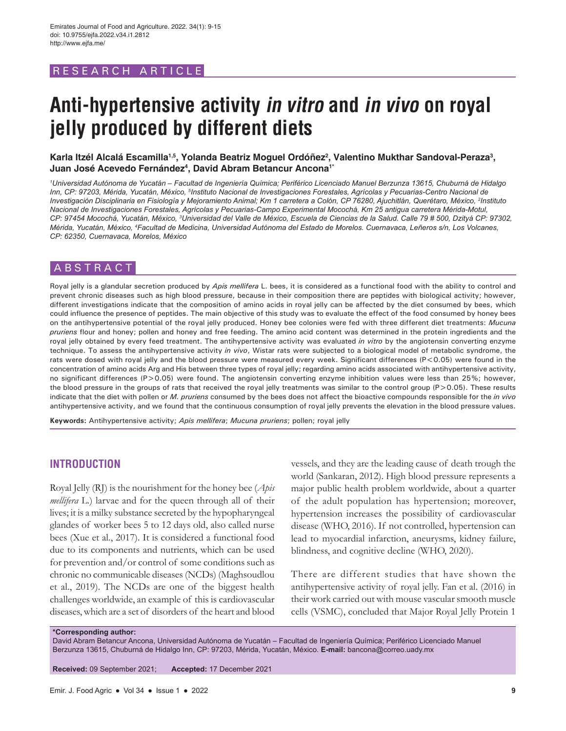# RESEARCH ARTICLE

# **Anti-hypertensive activity in vitro and in vivo on royal jelly produced by different diets**

## Karla Itzél Alcalá Escamilla<sup>1,5</sup>, Yolanda Beatriz Moguel Ordóñez<sup>2</sup>, Valentino Mukthar Sandoval-Peraza<sup>3</sup>, **Juan José Acevedo Fernández4 , David Abram Betancur Ancona1\***

*1 Universidad Autónoma de Yucatán – Facultad de Ingeniería Química; Periférico Licenciado Manuel Berzunza 13615, Chuburná de Hidalgo*  Inn, CP: 97203, Mérida, Yucatán, México, <sup>s</sup>Instituto Nacional de Investigaciones Forestales, Agrícolas y Pecuarias-Centro Nacional de *Investigación Disciplinaria en Fisiología y Mejoramiento Animal; Km 1 carretera a Colón, CP 76280, Ajuchitlán, Querétaro, México, 2 Instituto Nacional de Investigaciones Forestales, Agrícolas y Pecuarias-Campo Experimental Mocochá, Km 25 antigua carretera Mérida-Motul, CP: 97454 Mocochá, Yucatán, México, 3 Universidad del Valle de México, Escuela de Ciencias de la Salud. Calle 79 # 500, Dzityá CP: 97302, Mérida, Yucatán, México, 4 Facultad de Medicina, Universidad Autónoma del Estado de Morelos. Cuernavaca, Leñeros s/n, Los Volcanes, CP: 62350, Cuernavaca, Morelos, México*

## ABSTRACT

Royal jelly is a glandular secretion produced by *Apis mellifera* L. bees, it is considered as a functional food with the ability to control and prevent chronic diseases such as high blood pressure, because in their composition there are peptides with biological activity; however, different investigations indicate that the composition of amino acids in royal jelly can be affected by the diet consumed by bees, which could influence the presence of peptides. The main objective of this study was to evaluate the effect of the food consumed by honey bees on the antihypertensive potential of the royal jelly produced. Honey bee colonies were fed with three different diet treatments: *Mucuna pruriens* flour and honey; pollen and honey and free feeding. The amino acid content was determined in the protein ingredients and the royal jelly obtained by every feed treatment. The antihypertensive activity was evaluated *in vitro* by the angiotensin converting enzyme technique. To assess the antihypertensive activity *in vivo*, Wistar rats were subjected to a biological model of metabolic syndrome, the rats were dosed with royal jelly and the blood pressure were measured every week. Significant differences (P<0.05) were found in the concentration of amino acids Arg and His between three types of royal jelly; regarding amino acids associated with antihypertensive activity, no significant differences (P>0.05) were found. The angiotensin converting enzyme inhibition values were less than 25%; however, the blood pressure in the groups of rats that received the royal jelly treatments was similar to the control group (P>0.05). These results indicate that the diet with pollen or *M. pruriens* consumed by the bees does not affect the bioactive compounds responsible for the *in vivo* antihypertensive activity, and we found that the continuous consumption of royal jelly prevents the elevation in the blood pressure values.

**Keywords:** Antihypertensive activity; *Apis mellifera*; *Mucuna pruriens*; pollen; royal jelly

### **INTRODUCTION**

Royal Jelly (RJ) is the nourishment for the honey bee (*Apis mellifera* L*.*) larvae and for the queen through all of their lives; it is a milky substance secreted by the hypopharyngeal glandes of worker bees 5 to 12 days old, also called nurse bees (Xue et al., 2017). It is considered a functional food due to its components and nutrients, which can be used for prevention and/or control of some conditions such as chronic no communicable diseases (NCDs) (Maghsoudlou et al., 2019). The NCDs are one of the biggest health challenges worldwide, an example of this is cardiovascular diseases, which are a set of disorders of the heart and blood

vessels, and they are the leading cause of death trough the world (Sankaran, 2012). High blood pressure represents a major public health problem worldwide, about a quarter of the adult population has hypertension; moreover, hypertension increases the possibility of cardiovascular disease (WHO, 2016). If not controlled, hypertension can lead to myocardial infarction, aneurysms, kidney failure, blindness, and cognitive decline (WHO, 2020).

There are different studies that have shown the antihypertensive activity of royal jelly. Fan et al. (2016) in their work carried out with mouse vascular smooth muscle cells (VSMC), concluded that Major Royal Jelly Protein 1

**\*Corresponding author:** David Abram Betancur Ancona, Universidad Autónoma de Yucatán – Facultad de Ingeniería Química; Periférico Licenciado Manuel Berzunza 13615, Chuburná de Hidalgo Inn, CP: 97203, Mérida, Yucatán, México. **E-mail:** bancona@correo.uady.mx

**Received:** 09 September 2021; **Accepted:** 17 December 2021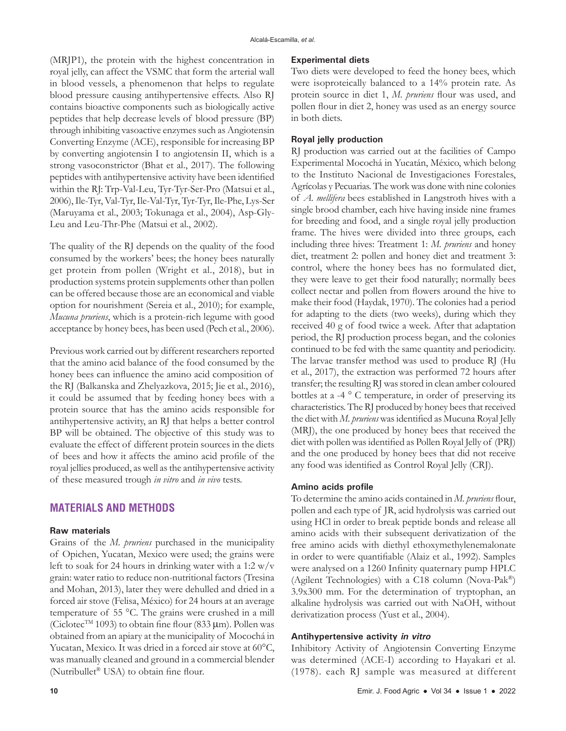(MRJP1), the protein with the highest concentration in royal jelly, can affect the VSMC that form the arterial wall in blood vessels, a phenomenon that helps to regulate blood pressure causing antihypertensive effects. Also RJ contains bioactive components such as biologically active peptides that help decrease levels of blood pressure (BP) through inhibiting vasoactive enzymes such as Angiotensin Converting Enzyme (ACE), responsible for increasing BP by converting angiotensin I to angiotensin II, which is a strong vasoconstrictor (Bhat et al., 2017). The following peptides with antihypertensive activity have been identified within the RJ: Trp-Val-Leu, Tyr-Tyr-Ser-Pro (Matsui et al., 2006), Ile-Tyr, Val-Tyr, Ile-Val-Tyr, Tyr-Tyr, Ile-Phe, Lys-Ser (Maruyama et al., 2003; Tokunaga et al., 2004), Asp-Gly-Leu and Leu-Thr-Phe (Matsui et al., 2002).

The quality of the RJ depends on the quality of the food consumed by the workers' bees; the honey bees naturally get protein from pollen (Wright et al., 2018), but in production systems protein supplements other than pollen can be offered because those are an economical and viable option for nourishment (Sereia et al., 2010); for example, *Mucuna pruriens*, which is a protein-rich legume with good acceptance by honey bees, has been used (Pech et al., 2006).

Previous work carried out by different researchers reported that the amino acid balance of the food consumed by the honey bees can influence the amino acid composition of the RJ (Balkanska and Zhelyazkova, 2015; Jie et al., 2016), it could be assumed that by feeding honey bees with a protein source that has the amino acids responsible for antihypertensive activity, an RJ that helps a better control BP will be obtained. The objective of this study was to evaluate the effect of different protein sources in the diets of bees and how it affects the amino acid profile of the royal jellies produced, as well as the antihypertensive activity of these measured trough *in vitro* and *in vivo* tests.

## **MATERIALS AND METHODS**

### **Raw materials**

Grains of the *M. pruriens* purchased in the municipality of Opichen, Yucatan, Mexico were used; the grains were left to soak for 24 hours in drinking water with a 1:2  $w/v$ grain: water ratio to reduce non-nutritional factors (Tresina and Mohan, 2013), later they were dehulled and dried in a forced air stove (Felisa, México) for 24 hours at an average temperature of 55 °C. The grains were crushed in a mill (Ciclotec<sup>TM</sup> 1093) to obtain fine flour (833  $\mu$ m). Pollen was obtained from an apiary at the municipality of Mocochá in Yucatan, Mexico. It was dried in a forced air stove at 60°C, was manually cleaned and ground in a commercial blender (Nutribullet® USA) to obtain fine flour.

Two diets were developed to feed the honey bees, which were isoproteically balanced to a 14% protein rate. As protein source in diet 1, *M. pruriens* flour was used, and pollen flour in diet 2, honey was used as an energy source in both diets.

#### **Royal jelly production**

RJ production was carried out at the facilities of Campo Experimental Mocochá in Yucatán, México, which belong to the Instituto Nacional de Investigaciones Forestales, Agrícolas y Pecuarias. The work was done with nine colonies of *A. mellifera* bees established in Langstroth hives with a single brood chamber, each hive having inside nine frames for breeding and food, and a single royal jelly production frame. The hives were divided into three groups, each including three hives: Treatment 1: *M. pruriens* and honey diet, treatment 2: pollen and honey diet and treatment 3: control, where the honey bees has no formulated diet, they were leave to get their food naturally; normally bees collect nectar and pollen from flowers around the hive to make their food (Haydak, 1970). The colonies had a period for adapting to the diets (two weeks), during which they received 40 g of food twice a week. After that adaptation period, the RJ production process began, and the colonies continued to be fed with the same quantity and periodicity. The larvae transfer method was used to produce RJ (Hu et al., 2017), the extraction was performed 72 hours after transfer; the resulting RJ was stored in clean amber coloured bottles at a -4 ° C temperature, in order of preserving its characteristics. The RJ produced by honey bees that received the diet with *M. pruriens* was identified as Mucuna Royal Jelly (MRJ), the one produced by honey bees that received the diet with pollen was identified as Pollen Royal Jelly of (PRJ) and the one produced by honey bees that did not receive any food was identified as Control Royal Jelly (CRJ).

#### **Amino acids profile**

To determine the amino acids contained in *M. pruriens* flour, pollen and each type of JR, acid hydrolysis was carried out using HCl in order to break peptide bonds and release all amino acids with their subsequent derivatization of the free amino acids with diethyl ethoxymethylenemalonate in order to were quantifiable (Alaiz et al., 1992). Samples were analysed on a 1260 Infinity quaternary pump HPLC (Agilent Technologies) with a C18 column (Nova-Pak®) 3.9x300 mm. For the determination of tryptophan, an alkaline hydrolysis was carried out with NaOH, without derivatization process (Yust et al., 2004).

### **Antihypertensive activity in vitro**

Inhibitory Activity of Angiotensin Converting Enzyme was determined (ACE-I) according to Hayakari et al. (1978). each RJ sample was measured at different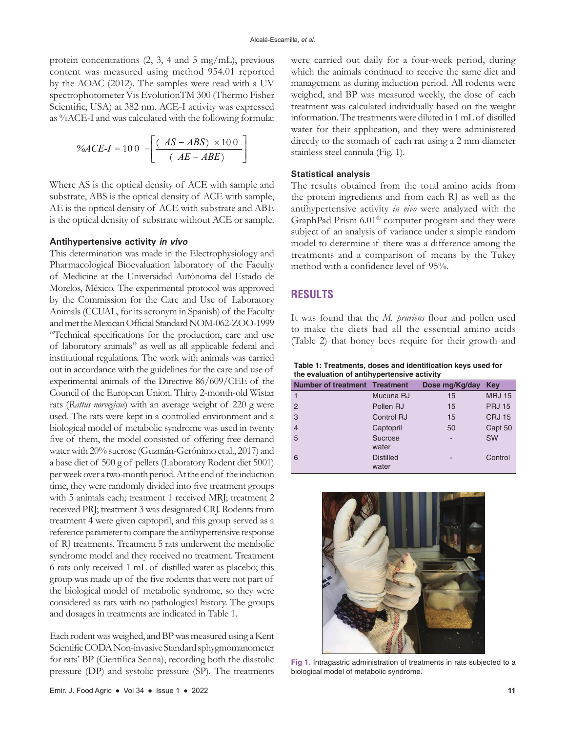protein concentrations (2, 3, 4 and 5 mg/mL), previous content was measured using method 954.01 reported by the AOAC (2012). The samples were read with a UV spectrophotometer Vis EvolutionTM 300 (Thermo Fisher Scientific, USA) at 382 nm. ACE-I activity was expressed as %ACE-I and was calculated with the following formula:

$$
\%ACE-I = 100 \left[ \frac{\left( AS - ABS \right) \times 100}{\left( AE - ABE \right)} \right]
$$

Where AS is the optical density of ACE with sample and substrate, ABS is the optical density of ACE with sample, AE is the optical density of ACE with substrate and ABE is the optical density of substrate without ACE or sample.

#### **Antihypertensive activity in vivo**

This determination was made in the Electrophysiology and Pharmacological Bioevaluation laboratory of the Faculty of Medicine at the Universidad Autónoma del Estado de Morelos, México. The experimental protocol was approved by the Commission for the Care and Use of Laboratory Animals (CCUAL, for its acronym in Spanish) of the Faculty and met the Mexican Official Standard NOM-062-ZOO-1999 "Technical specifications for the production, care and use of laboratory animals" as well as all applicable federal and institutional regulations. The work with animals was carried out in accordance with the guidelines for the care and use of experimental animals of the Directive 86/609/CEE of the Council of the European Union. Thirty 2-month-old Wistar rats (*Rattus norvegicus*) with an average weight of 220 g were used. The rats were kept in a controlled environment and a biological model of metabolic syndrome was used in twenty five of them, the model consisted of offering free demand water with 20% sucrose (Guzmán-Gerónimo et al., 2017) and a base diet of 500 g of pellets (Laboratory Rodent diet 5001) per week over a two-month period. At the end of the induction time, they were randomly divided into five treatment groups with 5 animals each; treatment 1 received MRJ; treatment 2 received PRJ; treatment 3 was designated CRJ. Rodents from treatment 4 were given captopril, and this group served as a reference parameter to compare the antihypertensive response of RJ treatments. Treatment 5 rats underwent the metabolic syndrome model and they received no treatment. Treatment 6 rats only received 1 mL of distilled water as placebo; this group was made up of the five rodents that were not part of the biological model of metabolic syndrome, so they were considered as rats with no pathological history. The groups and dosages in treatments are indicated in Table 1.

Each rodent was weighed, and BP was measured using a Kent Scientific CODA Non-invasive Standard sphygmomanometer for rats' BP (Científica Senna), recording both the diastolic pressure (DP) and systolic pressure (SP). The treatments

Emir. J. Food Agric ● Vol 34 ● Issue 1 ● 2022 **11**

were carried out daily for a four-week period, during which the animals continued to receive the same diet and management as during induction period. All rodents were weighed, and BP was measured weekly, the dose of each treatment was calculated individually based on the weight information. The treatments were diluted in 1mL of distilled water for their application, and they were administered directly to the stomach of each rat using a 2 mm diameter stainless steel cannula (Fig. 1).

#### **Statistical analysis**

The results obtained from the total amino acids from the protein ingredients and from each RJ as well as the antihypertensive activity *in vivo* were analyzed with the GraphPad Prism 6.01® computer program and they were subject of an analysis of variance under a simple random model to determine if there was a difference among the treatments and a comparison of means by the Tukey method with a confidence level of 95%.

# **RESULTS**

It was found that the *M. pruriens* flour and pollen used to make the diets had all the essential amino acids (Table 2) that honey bees require for their growth and

**Table 1: Treatments, doses and identification keys used for the evaluation of antihypertensive activity**

| <b>Number of treatment Treatment</b> |                  | Dose mg/Kg/day | Key           |
|--------------------------------------|------------------|----------------|---------------|
|                                      | Mucuna RJ        | 15             | <b>MRJ 15</b> |
| $\overline{2}$                       | Pollen RJ        | 15             | <b>PRJ 15</b> |
| 3                                    | Control RJ       | 15             | <b>CRJ 15</b> |
| $\overline{4}$                       | Captopril        | 50             | Capt 50       |
| 5                                    | Sucrose          |                | <b>SW</b>     |
|                                      | water            |                |               |
| 6                                    | <b>Distilled</b> |                | Control       |
|                                      | water            |                |               |



**Fig 1.** Intragastric administration of treatments in rats subjected to a biological model of metabolic syndrome.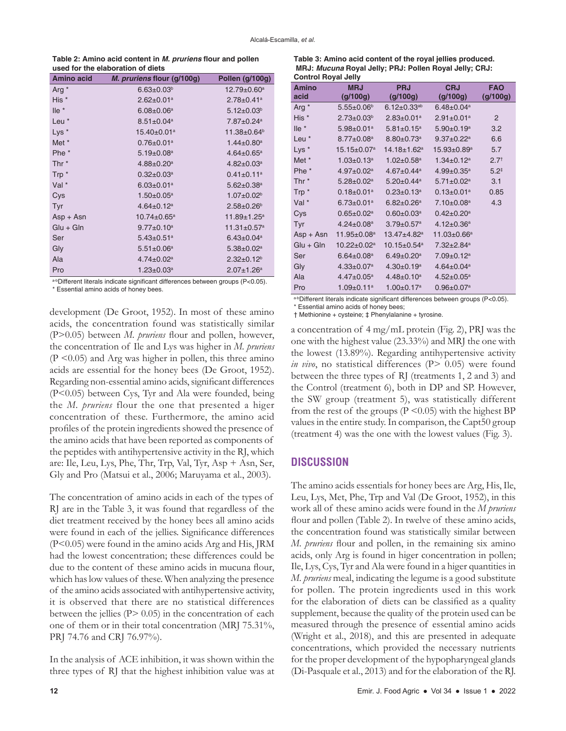**Table 2: Amino acid content in** *M. pruriens* **flour and pollen used for the elaboration of diets**

| <b>Amino acid</b> | <i>M. pruriens flour (g/100g)</i> | Pollen (g/100g)               |
|-------------------|-----------------------------------|-------------------------------|
| Arg <sup>*</sup>  | $6.63 \pm 0.03^b$                 | $12.79 \pm 0.60^a$            |
| His *             | $2.62 \pm 0.01$ <sup>a</sup>      | $2.78 \pm 0.41$ <sup>a</sup>  |
| $l$ le $*$        | $6.08 \pm 0.06^a$                 | $5.12 \pm 0.03^b$             |
| Leu *             | $8.51 \pm 0.04^a$                 | 7.87±0.24 <sup>a</sup>        |
| Lys <sup>*</sup>  | 15.40±0.01 <sup>a</sup>           | 11.38±0.64 <sup>b</sup>       |
| Met *             | $0.76 \pm 0.01$ a                 | $1.44 \pm 0.80$ <sup>a</sup>  |
| Phe <sup>*</sup>  | $5.19 \pm 0.08^a$                 | $4.64 \pm 0.65^{\text{a}}$    |
| Thr $*$           | $4.88 \pm 0.20$ <sup>a</sup>      | $4.82 \pm 0.03^a$             |
| Trp *             | $0.32 \pm 0.03$ <sup>a</sup>      | $0.41 \pm 0.11$ <sup>a</sup>  |
| Val *             | $6.03 \pm 0.01$ <sup>a</sup>      | $5.62 \pm 0.38$ <sup>a</sup>  |
| Cys               | $1.50 \pm 0.05^a$                 | $1.07 \pm 0.02^b$             |
| Tyr               | $4.64 \pm 0.12$ <sup>a</sup>      | $2.58 \pm 0.26^b$             |
| $Asp + Asn$       | $10.74 \pm 0.65^{\text{a}}$       | $11.89 \pm 1.25^a$            |
| $Glu + Gln$       | $9.77 \pm 0.10^a$                 | $11.31 \pm 0.57$ <sup>a</sup> |
| Ser               | $5.43 \pm 0.51$ <sup>a</sup>      | $6.43 \pm 0.04$ <sup>a</sup>  |
| Gly               | $5.51 \pm 0.06^a$                 | $5.38 \pm 0.02^a$             |
| Ala               | $4.74 \pm 0.02^a$                 | $2.32 \pm 0.12^b$             |
| Pro               | $1.23 \pm 0.03^a$                 | $2.07 + 1.26a$                |

a-b Different literals indicate significant differences between groups (P<0.05).

\* Essential amino acids of honey bees.

development (De Groot, 1952). In most of these amino acids, the concentration found was statistically similar (P>0.05) between *M. pruriens* flour and pollen, however, the concentration of Ile and Lys was higher in *M. pruriens*   $(P \le 0.05)$  and Arg was higher in pollen, this three amino acids are essential for the honey bees (De Groot, 1952). Regarding non-essential amino acids, significant differences (P<0.05) between Cys, Tyr and Ala were founded, being the *M. pruriens* flour the one that presented a higer concentration of these. Furthermore, the amino acid profiles of the protein ingredients showed the presence of the amino acids that have been reported as components of the peptides with antihypertensive activity in the RJ, which are: Ile, Leu, Lys, Phe, Thr, Trp, Val, Tyr, Asp + Asn, Ser, Gly and Pro (Matsui et al., 2006; Maruyama et al., 2003).

The concentration of amino acids in each of the types of RJ are in the Table 3, it was found that regardless of the diet treatment received by the honey bees all amino acids were found in each of the jellies. Significance differences (P<0.05) were found in the amino acids Arg and His, JRM had the lowest concentration; these differences could be due to the content of these amino acids in mucuna flour, which has low values of these. When analyzing the presence of the amino acids associated with antihypertensive activity, it is observed that there are no statistical differences between the jellies  $(P> 0.05)$  in the concentration of each one of them or in their total concentration (MRJ 75.31%, PRJ 74.76 and CRJ 76.97%).

In the analysis of ACE inhibition, it was shown within the three types of RJ that the highest inhibition value was at

| Table 3: Amino acid content of the royal jellies produced. |
|------------------------------------------------------------|
| MRJ: Mucuna Royal Jelly: PRJ: Pollen Royal Jelly: CRJ:     |
| <b>Control Royal Jelly</b>                                 |

| CONTROL NOVAL JEHY                                                                          |                              |                               |                              |                  |  |  |  |
|---------------------------------------------------------------------------------------------|------------------------------|-------------------------------|------------------------------|------------------|--|--|--|
| <b>Amino</b>                                                                                | <b>MRJ</b>                   | <b>PRJ</b>                    | <b>CRJ</b>                   | <b>FAO</b>       |  |  |  |
| acid                                                                                        | (g/100g)                     | (g/100g)                      | (g/100g)                     | (g/100g)         |  |  |  |
| Arg *                                                                                       | $5.55 \pm 0.06^{\circ}$      | $6.12 \pm 0.33$ <sup>ab</sup> | $6.48 \pm 0.04$ <sup>a</sup> |                  |  |  |  |
| His *                                                                                       | $2.73 \pm 0.03^b$            | $2.83 \pm 0.01$ <sup>a</sup>  | $2.91 \pm 0.01$ <sup>a</sup> | 2                |  |  |  |
| $l$ le $*$                                                                                  | $5.98 \pm 0.01$ <sup>a</sup> | $5.81 \pm 0.15^a$             | $5.90 \pm 0.19^a$            | 3.2              |  |  |  |
| Leu <sup>*</sup>                                                                            | $8.77 \pm 0.08$ <sup>a</sup> | $8.80 \pm 0.73$ <sup>a</sup>  | $9.37 \pm 0.22$ <sup>a</sup> | 6.6              |  |  |  |
| $Lys *$                                                                                     | $15.15 \pm 0.07^a$           | $14.18 \pm 1.62^a$            | $15.93 \pm 0.89^a$           | 5.7              |  |  |  |
| Met *                                                                                       | $1.03 \pm 0.13^a$            | $1.02 \pm 0.58$ <sup>a</sup>  | $1.34 \pm 0.12$ <sup>a</sup> | 2.7 <sup>†</sup> |  |  |  |
| Phe <sup>*</sup>                                                                            | $4.97 \pm 0.02$ <sup>a</sup> | $4.67 \pm 0.44$ <sup>a</sup>  | $4.99 \pm 0.35$ <sup>a</sup> | $5.2^{+}$        |  |  |  |
| Thr <sup>*</sup>                                                                            | $5.28 \pm 0.02^a$            | $5.20 \pm 0.44$ <sup>a</sup>  | $5.71 \pm 0.02$ <sup>a</sup> | 3.1              |  |  |  |
| Trp*                                                                                        | $0.18 \pm 0.01$ <sup>a</sup> | $0.23 \pm 0.13$ <sup>a</sup>  | $0.13 \pm 0.01$ <sup>a</sup> | 0.85             |  |  |  |
| Val <sup>*</sup>                                                                            | $6.73 \pm 0.01^a$            | $6.82 \pm 0.26$ <sup>a</sup>  | $7.10 \pm 0.08$ <sup>a</sup> | 4.3              |  |  |  |
| Cys                                                                                         | $0.65 \pm 0.02$ <sup>a</sup> | $0.60 \pm 0.03$ <sup>a</sup>  | $0.42 \pm 0.20$ <sup>a</sup> |                  |  |  |  |
| Tyr                                                                                         | $4.24 \pm 0.08$ <sup>a</sup> | $3.79 \pm 0.57$ <sup>a</sup>  | $4.12 \pm 0.36$ <sup>a</sup> |                  |  |  |  |
| $Asp + Asn$                                                                                 | $11.95 \pm 0.08^a$           | $13.47 + 4.82$ <sup>a</sup>   | $11.03 \pm 0.66^a$           |                  |  |  |  |
| $Glu + Gln$                                                                                 | $10.22 \pm 0.02^a$           | $10.15 \pm 0.54$ <sup>a</sup> | $7.32 \pm 2.84$ <sup>a</sup> |                  |  |  |  |
| Ser                                                                                         | $6.64 \pm 0.08$ <sup>a</sup> | $6.49 \pm 0.20$ <sup>a</sup>  | $7.09 \pm 0.12$ <sup>a</sup> |                  |  |  |  |
| Gly                                                                                         | $4.33 \pm 0.07$ <sup>a</sup> | $4.30 \pm 0.19^a$             | $4.64 \pm 0.04$ <sup>a</sup> |                  |  |  |  |
| Ala                                                                                         | $4.47 \pm 0.05^a$            | $4.48 \pm 0.10^a$             | $4.52 \pm 0.05^a$            |                  |  |  |  |
| Pro                                                                                         | $1.09 \pm 0.11$ <sup>a</sup> | $1.00 \pm 0.17$ <sup>a</sup>  | $0.96 \pm 0.07^a$            |                  |  |  |  |
| ap $\mathsf{Diff}$ arant litarala indicata aignificant differences betusen groups (D -0.05) |                              |                               |                              |                  |  |  |  |

a-b Different literals indicate significant differences between groups (P<0.05). \* Essential amino acids of honey bees;

† Methionine + cysteine; ‡ Phenylalanine + tyrosine.

a concentration of 4 mg/mL protein (Fig. 2), PRJ was the one with the highest value (23.33%) and MRJ the one with the lowest (13.89%). Regarding antihypertensive activity *in vivo*, no statistical differences (P> 0.05) were found between the three types of RJ (treatments 1, 2 and 3) and the Control (treatment 6), both in DP and SP. However, the SW group (treatment 5), was statistically different from the rest of the groups ( $P \le 0.05$ ) with the highest BP values in the entire study. In comparison, the Capt50 group (treatment 4) was the one with the lowest values (Fig. 3).

# **DISCUSSION**

The amino acids essentials for honey bees are Arg, His, Ile, Leu, Lys, Met, Phe, Trp and Val (De Groot, 1952), in this work all of these amino acids were found in the *M pruriens* flour and pollen (Table 2). In twelve of these amino acids, the concentration found was statistically similar between *M. pruriens* flour and pollen, in the remaining six amino acids, only Arg is found in higer concentration in pollen; Ile, Lys, Cys, Tyr and Ala were found in a higer quantities in *M. pruriens* meal, indicating the legume is a good substitute for pollen. The protein ingredients used in this work for the elaboration of diets can be classified as a quality supplement, because the quality of the protein used can be measured through the presence of essential amino acids (Wright et al., 2018), and this are presented in adequate concentrations, which provided the necessary nutrients for the proper development of the hypopharyngeal glands (Di-Pasquale et al., 2013) and for the elaboration of the RJ.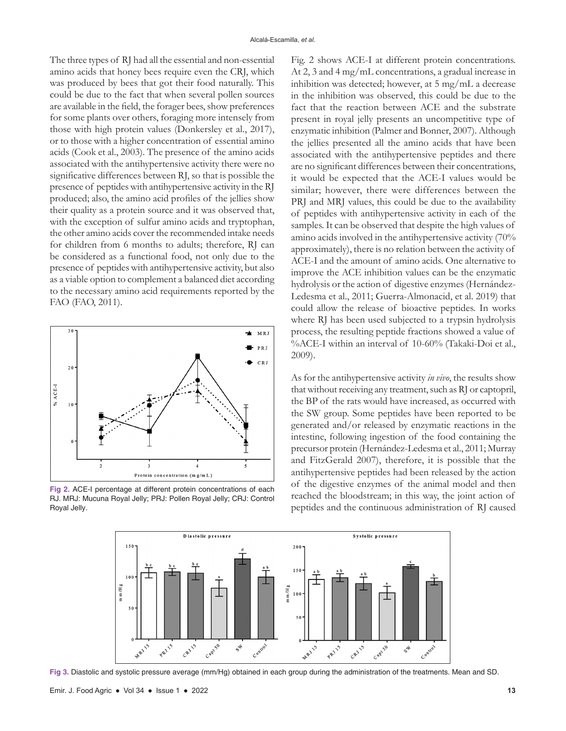The three types of RJ had all the essential and non-essential amino acids that honey bees require even the CRJ, which was produced by bees that got their food naturally. This could be due to the fact that when several pollen sources are available in the field, the forager bees, show preferences for some plants over others, foraging more intensely from those with high protein values (Donkersley et al., 2017), or to those with a higher concentration of essential amino acids (Cook et al., 2003). The presence of the amino acids associated with the antihypertensive activity there were no significative differences between RJ, so that is possible the presence of peptides with antihypertensive activity in the RJ produced; also, the amino acid profiles of the jellies show their quality as a protein source and it was observed that, with the exception of sulfur amino acids and tryptophan, the other amino acids cover the recommended intake needs for children from 6 months to adults; therefore, RJ can be considered as a functional food, not only due to the presence of peptides with antihypertensive activity, but also as a viable option to complement a balanced diet according to the necessary amino acid requirements reported by the FAO (FAO, 2011).



**Fig 2.** ACE-I percentage at different protein concentrations of each RJ. MRJ: Mucuna Royal Jelly; PRJ: Pollen Royal Jelly; CRJ: Control Royal Jelly.

Fig. 2 shows ACE-I at different protein concentrations. At 2, 3 and 4 mg/mL concentrations, a gradual increase in inhibition was detected; however, at 5 mg/mL a decrease in the inhibition was observed, this could be due to the fact that the reaction between ACE and the substrate present in royal jelly presents an uncompetitive type of enzymatic inhibition (Palmer and Bonner, 2007). Although the jellies presented all the amino acids that have been associated with the antihypertensive peptides and there are no significant differences between their concentrations, it would be expected that the ACE-I values would be similar; however, there were differences between the PRJ and MRJ values, this could be due to the availability of peptides with antihypertensive activity in each of the samples. It can be observed that despite the high values of amino acids involved in the antihypertensive activity (70% approximately), there is no relation between the activity of ACE-I and the amount of amino acids. One alternative to improve the ACE inhibition values can be the enzymatic hydrolysis or the action of digestive enzymes (Hernández-Ledesma et al., 2011; Guerra-Almonacid, et al. 2019) that could allow the release of bioactive peptides. In works where RJ has been used subjected to a trypsin hydrolysis process, the resulting peptide fractions showed a value of %ACE-I within an interval of 10-60% (Takaki-Doi et al., 2009).

As for the antihypertensive activity *in vivo*, the results show that without receiving any treatment, such as RJ or captopril, the BP of the rats would have increased, as occurred with the SW group. Some peptides have been reported to be generated and/or released by enzymatic reactions in the intestine, following ingestion of the food containing the precursor protein (Hernández-Ledesma et al., 2011; Murray and FitzGerald 2007), therefore, it is possible that the antihypertensive peptides had been released by the action of the digestive enzymes of the animal model and then reached the bloodstream; in this way, the joint action of peptides and the continuous administration of RJ caused



**Fig 3.** Diastolic and systolic pressure average (mm/Hg) obtained in each group during the administration of the treatments. Mean and SD.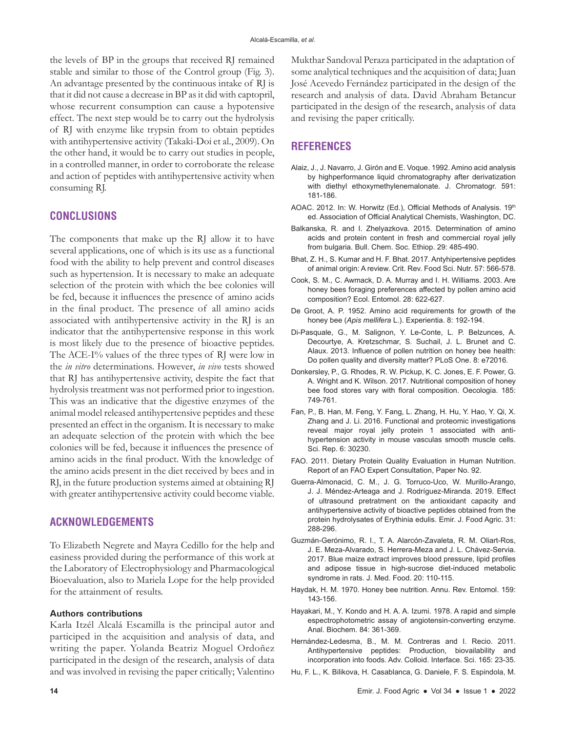the levels of BP in the groups that received RJ remained stable and similar to those of the Control group (Fig. 3). An advantage presented by the continuous intake of RJ is that it did not cause a decrease in BP as it did with captopril, whose recurrent consumption can cause a hypotensive effect. The next step would be to carry out the hydrolysis of RJ with enzyme like trypsin from to obtain peptides with antihypertensive activity (Takaki-Doi et al., 2009). On the other hand, it would be to carry out studies in people, in a controlled manner, in order to corroborate the release and action of peptides with antihypertensive activity when consuming RJ.

## **CONCLUSIONS**

The components that make up the RJ allow it to have several applications, one of which is its use as a functional food with the ability to help prevent and control diseases such as hypertension. It is necessary to make an adequate selection of the protein with which the bee colonies will be fed, because it influences the presence of amino acids in the final product. The presence of all amino acids associated with antihypertensive activity in the RJ is an indicator that the antihypertensive response in this work is most likely due to the presence of bioactive peptides. The ACE-I% values of the three types of RJ were low in the *in vitro* determinations. However, *in vivo* tests showed that RJ has antihypertensive activity, despite the fact that hydrolysis treatment was not performed prior to ingestion. This was an indicative that the digestive enzymes of the animal model released antihypertensive peptides and these presented an effect in the organism. It is necessary to make an adequate selection of the protein with which the bee colonies will be fed, because it influences the presence of amino acids in the final product. With the knowledge of the amino acids present in the diet received by bees and in RJ, in the future production systems aimed at obtaining RJ with greater antihypertensive activity could become viable.

# **ACKNOWLEDGEMENTS**

To Elizabeth Negrete and Mayra Cedillo for the help and easiness provided during the performance of this work at the Laboratory of Electrophysiology and Pharmacological Bioevaluation, also to Mariela Lope for the help provided for the attainment of results.

#### **Authors contributions**

Karla Itzél Alcalá Escamilla is the principal autor and participed in the acquisition and analysis of data, and writing the paper. Yolanda Beatriz Moguel Ordoñez participated in the design of the research, analysis of data and was involved in revising the paper critically; Valentino Mukthar Sandoval Peraza participated in the adaptation of some analytical techniques and the acquisition of data; Juan José Acevedo Fernández participated in the design of the research and analysis of data. David Abraham Betancur participated in the design of the research, analysis of data and revising the paper critically.

## **REFERENCES**

- Alaiz, J., J. Navarro, J. Girón and E. Voque. 1992. Amino acid analysis by highperformance liquid chromatography after derivatization with diethyl ethoxymethylenemalonate. J. Chromatogr. 591: 181-186.
- AOAC. 2012. In: W. Horwitz (Ed.), Official Methods of Analysis. 19th ed. Association of Official Analytical Chemists, Washington, DC.
- Balkanska, R. and I. Zhelyazkova. 2015. Determination of amino acids and protein content in fresh and commercial royal jelly from bulgaria. Bull. Chem. Soc. Ethiop. 29: 485-490.
- Bhat, Z. H., S. Kumar and H. F. Bhat. 2017. Antyhipertensive peptides of animal origin: A review. Crit. Rev. Food Sci. Nutr. 57: 566-578.
- Cook, S. M., C. Awmack, D. A. Murray and I. H. Williams. 2003. Are honey bees foraging preferences affected by pollen amino acid composition? Ecol. Entomol. 28: 622-627.
- De Groot, A. P. 1952. Amino acid requirements for growth of the honey bee (*Apis mellifera* L.). Experientia. 8: 192-194.
- Di-Pasquale, G., M. Salignon, Y. Le-Conte, L. P. Belzunces, A. Decourtye, A. Kretzschmar, S. Suchail, J. L. Brunet and C. Alaux. 2013. Influence of pollen nutrition on honey bee health: Do pollen quality and diversity matter? PLoS One. 8: e72016.
- Donkersley, P., G. Rhodes, R. W. Pickup, K. C. Jones, E. F. Power, G. A. Wright and K. Wilson. 2017. Nutritional composition of honey bee food stores vary with floral composition. Oecologia. 185: 749-761.
- Fan, P., B. Han, M. Feng, Y. Fang, L. Zhang, H. Hu, Y. Hao, Y. Qi, X. Zhang and J. Li. 2016. Functional and proteomic investigations reveal major royal jelly protein 1 associated with antihypertension activity in mouse vasculas smooth muscle cells. Sci. Rep. 6: 30230.
- FAO. 2011. Dietary Protein Quality Evaluation in Human Nutrition. Report of an FAO Expert Consultation, Paper No. 92.
- Guerra-Almonacid, C. M., J. G. Torruco-Uco, W. Murillo-Arango, J. J. Méndez-Arteaga and J. Rodríguez-Miranda. 2019. Effect of ultrasound pretratment on the antioxidant capacity and antihypertensive activity of bioactive peptides obtained from the protein hydrolysates of Erythinia edulis. Emir. J. Food Agric. 31: 288-296.
- Guzmán-Gerónimo, R. I., T. A. Alarcón-Zavaleta, R. M. Oliart-Ros, J. E. Meza-Alvarado, S. Herrera-Meza and J. L. Chávez-Servia. 2017. Blue maize extract improves blood pressure, lipid profiles and adipose tissue in high-sucrose diet-induced metabolic syndrome in rats. J. Med. Food. 20: 110-115.
- Haydak, H. M. 1970. Honey bee nutrition. Annu. Rev. Entomol. 159: 143-156.
- Hayakari, M., Y. Kondo and H. A. A. Izumi. 1978. A rapid and simple espectrophotometric assay of angiotensin-converting enzyme. Anal. Biochem. 84: 361-369.
- Hernández-Ledesma, B., M. M. Contreras and I. Recio. 2011. Antihypertensive peptides: Production, biovailability and incorporation into foods. Adv. Colloid. Interface. Sci. 165: 23-35.
- Hu, F. L., K. Bilikova, H. Casablanca, G. Daniele, F. S. Espindola, M.